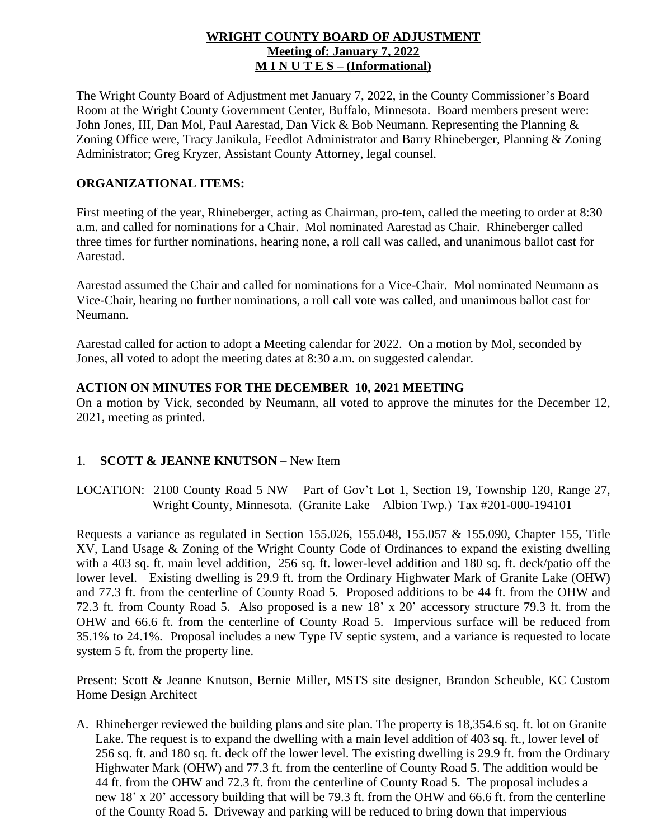### **WRIGHT COUNTY BOARD OF ADJUSTMENT Meeting of: January 7, 2022 M I N U T E S – (Informational)**

The Wright County Board of Adjustment met January 7, 2022, in the County Commissioner's Board Room at the Wright County Government Center, Buffalo, Minnesota. Board members present were: John Jones, III, Dan Mol, Paul Aarestad, Dan Vick & Bob Neumann. Representing the Planning & Zoning Office were, Tracy Janikula, Feedlot Administrator and Barry Rhineberger, Planning & Zoning Administrator; Greg Kryzer, Assistant County Attorney, legal counsel.

# **ORGANIZATIONAL ITEMS:**

First meeting of the year, Rhineberger, acting as Chairman, pro-tem, called the meeting to order at 8:30 a.m. and called for nominations for a Chair. Mol nominated Aarestad as Chair. Rhineberger called three times for further nominations, hearing none, a roll call was called, and unanimous ballot cast for Aarestad.

Aarestad assumed the Chair and called for nominations for a Vice-Chair. Mol nominated Neumann as Vice-Chair, hearing no further nominations, a roll call vote was called, and unanimous ballot cast for Neumann.

Aarestad called for action to adopt a Meeting calendar for 2022. On a motion by Mol, seconded by Jones, all voted to adopt the meeting dates at 8:30 a.m. on suggested calendar.

## **ACTION ON MINUTES FOR THE DECEMBER 10, 2021 MEETING**

On a motion by Vick, seconded by Neumann, all voted to approve the minutes for the December 12, 2021, meeting as printed.

# 1. **SCOTT & JEANNE KNUTSON** – New Item

LOCATION: 2100 County Road 5 NW – Part of Gov't Lot 1, Section 19, Township 120, Range 27, Wright County, Minnesota. (Granite Lake – Albion Twp.) Tax #201-000-194101

Requests a variance as regulated in Section 155.026, 155.048, 155.057 & 155.090, Chapter 155, Title XV, Land Usage & Zoning of the Wright County Code of Ordinances to expand the existing dwelling with a 403 sq. ft. main level addition, 256 sq. ft. lower-level addition and 180 sq. ft. deck/patio off the lower level. Existing dwelling is 29.9 ft. from the Ordinary Highwater Mark of Granite Lake (OHW) and 77.3 ft. from the centerline of County Road 5. Proposed additions to be 44 ft. from the OHW and 72.3 ft. from County Road 5. Also proposed is a new 18' x 20' accessory structure 79.3 ft. from the OHW and 66.6 ft. from the centerline of County Road 5. Impervious surface will be reduced from 35.1% to 24.1%. Proposal includes a new Type IV septic system, and a variance is requested to locate system 5 ft. from the property line.

Present: Scott & Jeanne Knutson, Bernie Miller, MSTS site designer, Brandon Scheuble, KC Custom Home Design Architect

A. Rhineberger reviewed the building plans and site plan. The property is 18,354.6 sq. ft. lot on Granite Lake. The request is to expand the dwelling with a main level addition of 403 sq. ft., lower level of 256 sq. ft. and 180 sq. ft. deck off the lower level. The existing dwelling is 29.9 ft. from the Ordinary Highwater Mark (OHW) and 77.3 ft. from the centerline of County Road 5. The addition would be 44 ft. from the OHW and 72.3 ft. from the centerline of County Road 5. The proposal includes a new 18' x 20' accessory building that will be 79.3 ft. from the OHW and 66.6 ft. from the centerline of the County Road 5. Driveway and parking will be reduced to bring down that impervious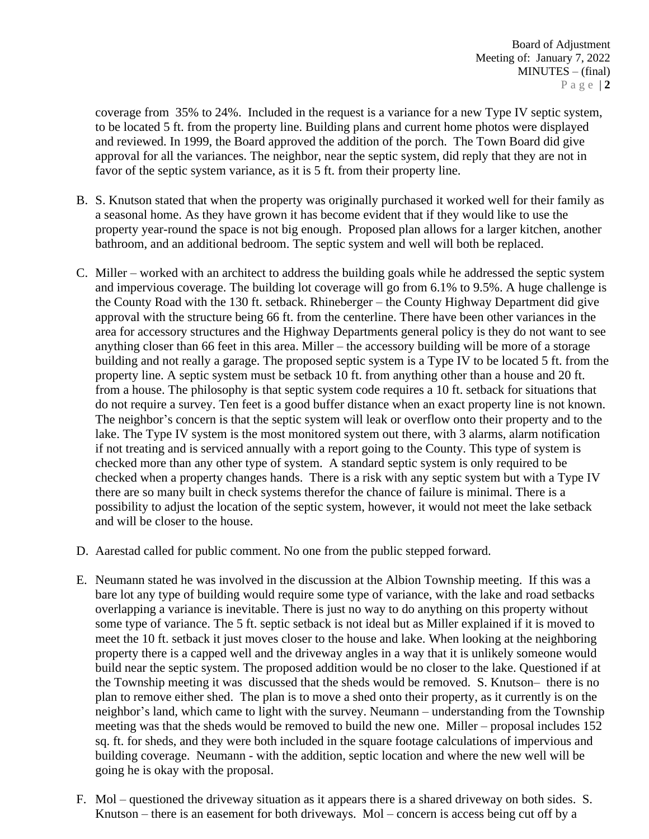coverage from 35% to 24%. Included in the request is a variance for a new Type IV septic system, to be located 5 ft. from the property line. Building plans and current home photos were displayed and reviewed. In 1999, the Board approved the addition of the porch. The Town Board did give approval for all the variances. The neighbor, near the septic system, did reply that they are not in favor of the septic system variance, as it is 5 ft. from their property line.

- B. S. Knutson stated that when the property was originally purchased it worked well for their family as a seasonal home. As they have grown it has become evident that if they would like to use the property year-round the space is not big enough. Proposed plan allows for a larger kitchen, another bathroom, and an additional bedroom. The septic system and well will both be replaced.
- C. Miller worked with an architect to address the building goals while he addressed the septic system and impervious coverage. The building lot coverage will go from 6.1% to 9.5%. A huge challenge is the County Road with the 130 ft. setback. Rhineberger – the County Highway Department did give approval with the structure being 66 ft. from the centerline. There have been other variances in the area for accessory structures and the Highway Departments general policy is they do not want to see anything closer than 66 feet in this area. Miller – the accessory building will be more of a storage building and not really a garage. The proposed septic system is a Type IV to be located 5 ft. from the property line. A septic system must be setback 10 ft. from anything other than a house and 20 ft. from a house. The philosophy is that septic system code requires a 10 ft. setback for situations that do not require a survey. Ten feet is a good buffer distance when an exact property line is not known. The neighbor's concern is that the septic system will leak or overflow onto their property and to the lake. The Type IV system is the most monitored system out there, with 3 alarms, alarm notification if not treating and is serviced annually with a report going to the County. This type of system is checked more than any other type of system. A standard septic system is only required to be checked when a property changes hands. There is a risk with any septic system but with a Type IV there are so many built in check systems therefor the chance of failure is minimal. There is a possibility to adjust the location of the septic system, however, it would not meet the lake setback and will be closer to the house.
- D. Aarestad called for public comment. No one from the public stepped forward.
- E. Neumann stated he was involved in the discussion at the Albion Township meeting. If this was a bare lot any type of building would require some type of variance, with the lake and road setbacks overlapping a variance is inevitable. There is just no way to do anything on this property without some type of variance. The 5 ft. septic setback is not ideal but as Miller explained if it is moved to meet the 10 ft. setback it just moves closer to the house and lake. When looking at the neighboring property there is a capped well and the driveway angles in a way that it is unlikely someone would build near the septic system. The proposed addition would be no closer to the lake. Questioned if at the Township meeting it was discussed that the sheds would be removed. S. Knutson– there is no plan to remove either shed. The plan is to move a shed onto their property, as it currently is on the neighbor's land, which came to light with the survey. Neumann – understanding from the Township meeting was that the sheds would be removed to build the new one. Miller – proposal includes 152 sq. ft. for sheds, and they were both included in the square footage calculations of impervious and building coverage. Neumann - with the addition, septic location and where the new well will be going he is okay with the proposal.
- F. Mol questioned the driveway situation as it appears there is a shared driveway on both sides. S. Knutson – there is an easement for both driveways. Mol – concern is access being cut off by a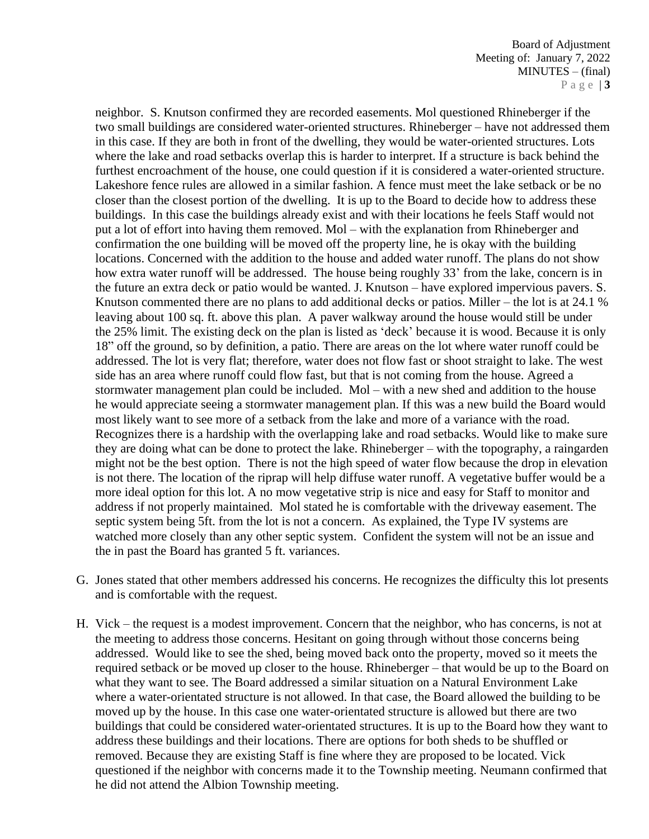neighbor. S. Knutson confirmed they are recorded easements. Mol questioned Rhineberger if the two small buildings are considered water-oriented structures. Rhineberger – have not addressed them in this case. If they are both in front of the dwelling, they would be water-oriented structures. Lots where the lake and road setbacks overlap this is harder to interpret. If a structure is back behind the furthest encroachment of the house, one could question if it is considered a water-oriented structure. Lakeshore fence rules are allowed in a similar fashion. A fence must meet the lake setback or be no closer than the closest portion of the dwelling. It is up to the Board to decide how to address these buildings. In this case the buildings already exist and with their locations he feels Staff would not put a lot of effort into having them removed. Mol – with the explanation from Rhineberger and confirmation the one building will be moved off the property line, he is okay with the building locations. Concerned with the addition to the house and added water runoff. The plans do not show how extra water runoff will be addressed. The house being roughly 33' from the lake, concern is in the future an extra deck or patio would be wanted. J. Knutson – have explored impervious pavers. S. Knutson commented there are no plans to add additional decks or patios. Miller – the lot is at 24.1 % leaving about 100 sq. ft. above this plan. A paver walkway around the house would still be under the 25% limit. The existing deck on the plan is listed as 'deck' because it is wood. Because it is only 18" off the ground, so by definition, a patio. There are areas on the lot where water runoff could be addressed. The lot is very flat; therefore, water does not flow fast or shoot straight to lake. The west side has an area where runoff could flow fast, but that is not coming from the house. Agreed a stormwater management plan could be included. Mol – with a new shed and addition to the house he would appreciate seeing a stormwater management plan. If this was a new build the Board would most likely want to see more of a setback from the lake and more of a variance with the road. Recognizes there is a hardship with the overlapping lake and road setbacks. Would like to make sure they are doing what can be done to protect the lake. Rhineberger – with the topography, a raingarden might not be the best option. There is not the high speed of water flow because the drop in elevation is not there. The location of the riprap will help diffuse water runoff. A vegetative buffer would be a more ideal option for this lot. A no mow vegetative strip is nice and easy for Staff to monitor and address if not properly maintained. Mol stated he is comfortable with the driveway easement. The septic system being 5ft. from the lot is not a concern. As explained, the Type IV systems are watched more closely than any other septic system. Confident the system will not be an issue and the in past the Board has granted 5 ft. variances.

- G. Jones stated that other members addressed his concerns. He recognizes the difficulty this lot presents and is comfortable with the request.
- H. Vick the request is a modest improvement. Concern that the neighbor, who has concerns, is not at the meeting to address those concerns. Hesitant on going through without those concerns being addressed. Would like to see the shed, being moved back onto the property, moved so it meets the required setback or be moved up closer to the house. Rhineberger – that would be up to the Board on what they want to see. The Board addressed a similar situation on a Natural Environment Lake where a water-orientated structure is not allowed. In that case, the Board allowed the building to be moved up by the house. In this case one water-orientated structure is allowed but there are two buildings that could be considered water-orientated structures. It is up to the Board how they want to address these buildings and their locations. There are options for both sheds to be shuffled or removed. Because they are existing Staff is fine where they are proposed to be located. Vick questioned if the neighbor with concerns made it to the Township meeting. Neumann confirmed that he did not attend the Albion Township meeting.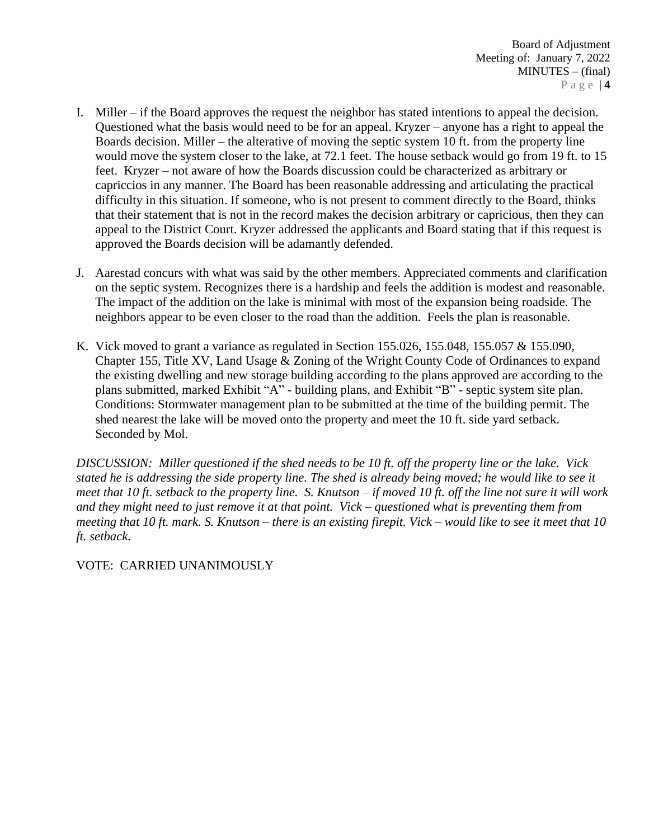- I. Miller if the Board approves the request the neighbor has stated intentions to appeal the decision. Questioned what the basis would need to be for an appeal. Kryzer – anyone has a right to appeal the Boards decision. Miller – the alterative of moving the septic system 10 ft. from the property line would move the system closer to the lake, at 72.1 feet. The house setback would go from 19 ft. to 15 feet. Kryzer – not aware of how the Boards discussion could be characterized as arbitrary or capriccios in any manner. The Board has been reasonable addressing and articulating the practical difficulty in this situation. If someone, who is not present to comment directly to the Board, thinks that their statement that is not in the record makes the decision arbitrary or capricious, then they can appeal to the District Court. Kryzer addressed the applicants and Board stating that if this request is approved the Boards decision will be adamantly defended.
- J. Aarestad concurs with what was said by the other members. Appreciated comments and clarification on the septic system. Recognizes there is a hardship and feels the addition is modest and reasonable. The impact of the addition on the lake is minimal with most of the expansion being roadside. The neighbors appear to be even closer to the road than the addition. Feels the plan is reasonable.
- K. Vick moved to grant a variance as regulated in Section 155.026, 155.048, 155.057 & 155.090, Chapter 155, Title XV, Land Usage & Zoning of the Wright County Code of Ordinances to expand the existing dwelling and new storage building according to the plans approved are according to the plans submitted, marked Exhibit "A" - building plans, and Exhibit "B" - septic system site plan. Conditions: Stormwater management plan to be submitted at the time of the building permit. The shed nearest the lake will be moved onto the property and meet the 10 ft. side yard setback. Seconded by Mol.

*DISCUSSION: Miller questioned if the shed needs to be 10 ft. off the property line or the lake. Vick stated he is addressing the side property line. The shed is already being moved; he would like to see it meet that 10 ft. setback to the property line. S. Knutson – if moved 10 ft. off the line not sure it will work and they might need to just remove it at that point. Vick – questioned what is preventing them from meeting that 10 ft. mark. S. Knutson – there is an existing firepit. Vick – would like to see it meet that 10 ft. setback.* 

VOTE: CARRIED UNANIMOUSLY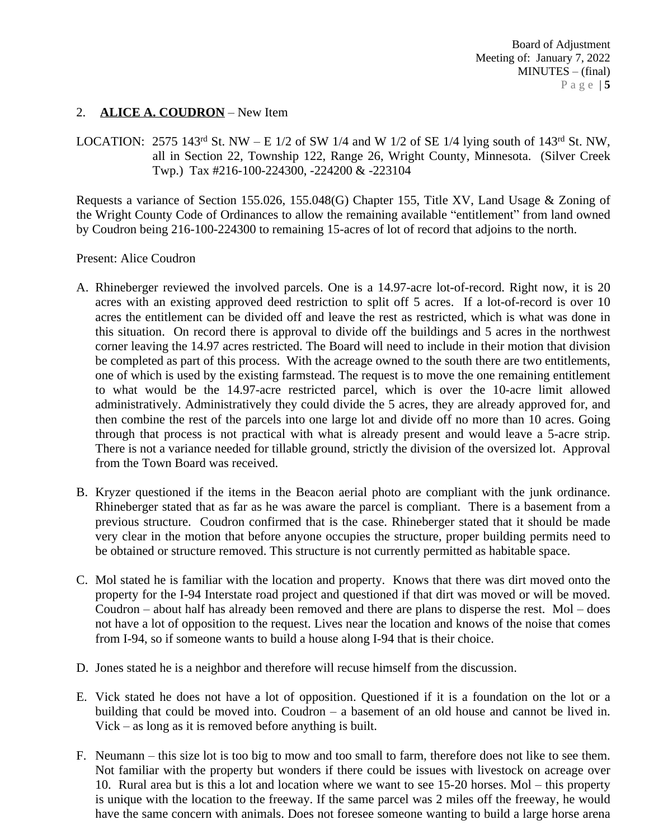## 2. **ALICE A. COUDRON** – New Item

LOCATION: 2575 143<sup>rd</sup> St. NW – E 1/2 of SW 1/4 and W 1/2 of SE 1/4 lying south of 143<sup>rd</sup> St. NW, all in Section 22, Township 122, Range 26, Wright County, Minnesota. (Silver Creek Twp.) Tax #216-100-224300, -224200 & -223104

Requests a variance of Section 155.026, 155.048(G) Chapter 155, Title XV, Land Usage & Zoning of the Wright County Code of Ordinances to allow the remaining available "entitlement" from land owned by Coudron being 216-100-224300 to remaining 15-acres of lot of record that adjoins to the north.

#### Present: Alice Coudron

- A. Rhineberger reviewed the involved parcels. One is a 14.97-acre lot-of-record. Right now, it is 20 acres with an existing approved deed restriction to split off 5 acres. If a lot-of-record is over 10 acres the entitlement can be divided off and leave the rest as restricted, which is what was done in this situation. On record there is approval to divide off the buildings and 5 acres in the northwest corner leaving the 14.97 acres restricted. The Board will need to include in their motion that division be completed as part of this process. With the acreage owned to the south there are two entitlements, one of which is used by the existing farmstead. The request is to move the one remaining entitlement to what would be the 14.97-acre restricted parcel, which is over the 10-acre limit allowed administratively. Administratively they could divide the 5 acres, they are already approved for, and then combine the rest of the parcels into one large lot and divide off no more than 10 acres. Going through that process is not practical with what is already present and would leave a 5-acre strip. There is not a variance needed for tillable ground, strictly the division of the oversized lot. Approval from the Town Board was received.
- B. Kryzer questioned if the items in the Beacon aerial photo are compliant with the junk ordinance. Rhineberger stated that as far as he was aware the parcel is compliant. There is a basement from a previous structure. Coudron confirmed that is the case. Rhineberger stated that it should be made very clear in the motion that before anyone occupies the structure, proper building permits need to be obtained or structure removed. This structure is not currently permitted as habitable space.
- C. Mol stated he is familiar with the location and property. Knows that there was dirt moved onto the property for the I-94 Interstate road project and questioned if that dirt was moved or will be moved. Coudron – about half has already been removed and there are plans to disperse the rest. Mol – does not have a lot of opposition to the request. Lives near the location and knows of the noise that comes from I-94, so if someone wants to build a house along I-94 that is their choice.
- D. Jones stated he is a neighbor and therefore will recuse himself from the discussion.
- E. Vick stated he does not have a lot of opposition. Questioned if it is a foundation on the lot or a building that could be moved into. Coudron – a basement of an old house and cannot be lived in. Vick – as long as it is removed before anything is built.
- F. Neumann this size lot is too big to mow and too small to farm, therefore does not like to see them. Not familiar with the property but wonders if there could be issues with livestock on acreage over 10. Rural area but is this a lot and location where we want to see 15-20 horses. Mol – this property is unique with the location to the freeway. If the same parcel was 2 miles off the freeway, he would have the same concern with animals. Does not foresee someone wanting to build a large horse arena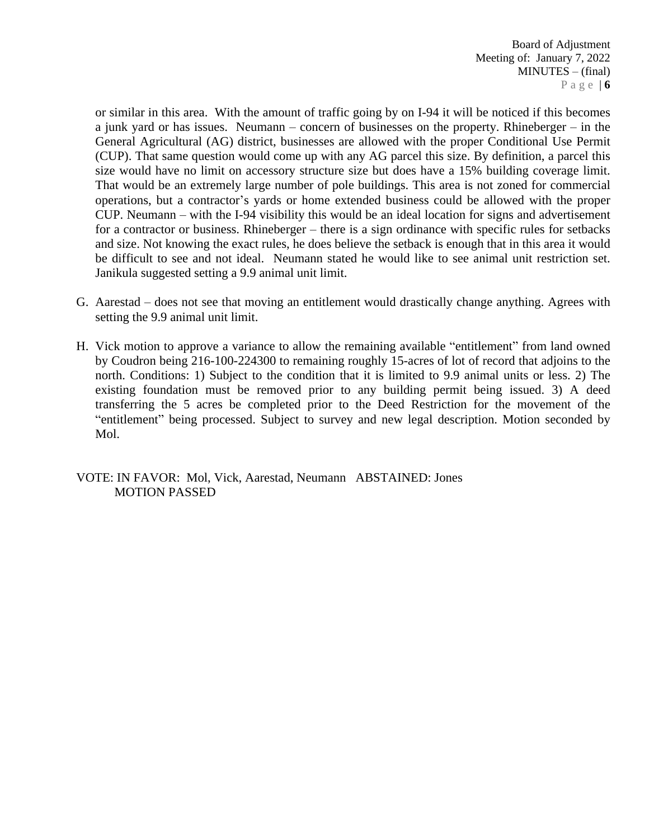or similar in this area. With the amount of traffic going by on I-94 it will be noticed if this becomes a junk yard or has issues. Neumann – concern of businesses on the property. Rhineberger – in the General Agricultural (AG) district, businesses are allowed with the proper Conditional Use Permit (CUP). That same question would come up with any AG parcel this size. By definition, a parcel this size would have no limit on accessory structure size but does have a 15% building coverage limit. That would be an extremely large number of pole buildings. This area is not zoned for commercial operations, but a contractor's yards or home extended business could be allowed with the proper CUP. Neumann – with the I-94 visibility this would be an ideal location for signs and advertisement for a contractor or business. Rhineberger – there is a sign ordinance with specific rules for setbacks and size. Not knowing the exact rules, he does believe the setback is enough that in this area it would be difficult to see and not ideal. Neumann stated he would like to see animal unit restriction set. Janikula suggested setting a 9.9 animal unit limit.

- G. Aarestad does not see that moving an entitlement would drastically change anything. Agrees with setting the 9.9 animal unit limit.
- H. Vick motion to approve a variance to allow the remaining available "entitlement" from land owned by Coudron being 216-100-224300 to remaining roughly 15-acres of lot of record that adjoins to the north. Conditions: 1) Subject to the condition that it is limited to 9.9 animal units or less. 2) The existing foundation must be removed prior to any building permit being issued. 3) A deed transferring the 5 acres be completed prior to the Deed Restriction for the movement of the "entitlement" being processed. Subject to survey and new legal description. Motion seconded by Mol.

VOTE: IN FAVOR: Mol, Vick, Aarestad, Neumann ABSTAINED: Jones MOTION PASSED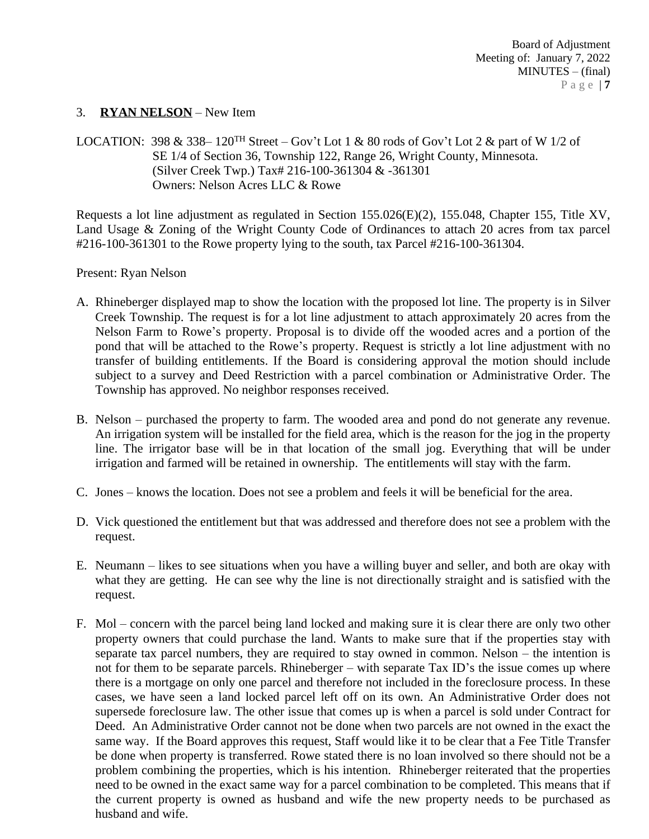#### 3. **RYAN NELSON** – New Item

LOCATION: 398 & 338–  $120^{TH}$  Street – Gov't Lot 1 & 80 rods of Gov't Lot 2 & part of W 1/2 of SE 1/4 of Section 36, Township 122, Range 26, Wright County, Minnesota. (Silver Creek Twp.) Tax# 216-100-361304 & -361301 Owners: Nelson Acres LLC & Rowe

Requests a lot line adjustment as regulated in Section 155.026(E)(2), 155.048, Chapter 155, Title XV, Land Usage & Zoning of the Wright County Code of Ordinances to attach 20 acres from tax parcel #216-100-361301 to the Rowe property lying to the south, tax Parcel #216-100-361304.

#### Present: Ryan Nelson

- A. Rhineberger displayed map to show the location with the proposed lot line. The property is in Silver Creek Township. The request is for a lot line adjustment to attach approximately 20 acres from the Nelson Farm to Rowe's property. Proposal is to divide off the wooded acres and a portion of the pond that will be attached to the Rowe's property. Request is strictly a lot line adjustment with no transfer of building entitlements. If the Board is considering approval the motion should include subject to a survey and Deed Restriction with a parcel combination or Administrative Order. The Township has approved. No neighbor responses received.
- B. Nelson purchased the property to farm. The wooded area and pond do not generate any revenue. An irrigation system will be installed for the field area, which is the reason for the jog in the property line. The irrigator base will be in that location of the small jog. Everything that will be under irrigation and farmed will be retained in ownership. The entitlements will stay with the farm.
- C. Jones knows the location. Does not see a problem and feels it will be beneficial for the area.
- D. Vick questioned the entitlement but that was addressed and therefore does not see a problem with the request.
- E. Neumann likes to see situations when you have a willing buyer and seller, and both are okay with what they are getting. He can see why the line is not directionally straight and is satisfied with the request.
- F. Mol concern with the parcel being land locked and making sure it is clear there are only two other property owners that could purchase the land. Wants to make sure that if the properties stay with separate tax parcel numbers, they are required to stay owned in common. Nelson – the intention is not for them to be separate parcels. Rhineberger – with separate Tax ID's the issue comes up where there is a mortgage on only one parcel and therefore not included in the foreclosure process. In these cases, we have seen a land locked parcel left off on its own. An Administrative Order does not supersede foreclosure law. The other issue that comes up is when a parcel is sold under Contract for Deed. An Administrative Order cannot not be done when two parcels are not owned in the exact the same way. If the Board approves this request, Staff would like it to be clear that a Fee Title Transfer be done when property is transferred. Rowe stated there is no loan involved so there should not be a problem combining the properties, which is his intention. Rhineberger reiterated that the properties need to be owned in the exact same way for a parcel combination to be completed. This means that if the current property is owned as husband and wife the new property needs to be purchased as husband and wife.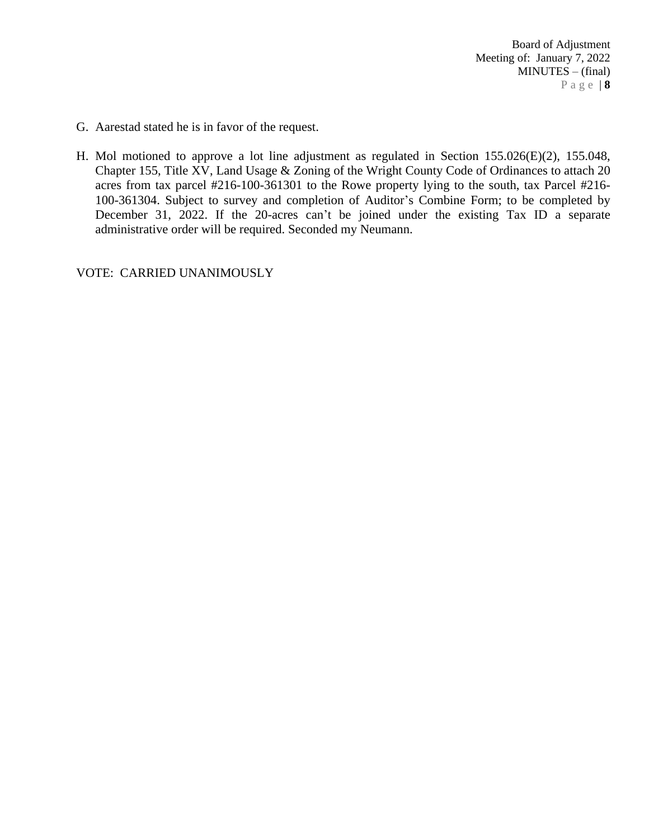- G. Aarestad stated he is in favor of the request.
- H. Mol motioned to approve a lot line adjustment as regulated in Section 155.026(E)(2), 155.048, Chapter 155, Title XV, Land Usage & Zoning of the Wright County Code of Ordinances to attach 20 acres from tax parcel #216-100-361301 to the Rowe property lying to the south, tax Parcel #216- 100-361304. Subject to survey and completion of Auditor's Combine Form; to be completed by December 31, 2022. If the 20-acres can't be joined under the existing Tax ID a separate administrative order will be required. Seconded my Neumann.

VOTE: CARRIED UNANIMOUSLY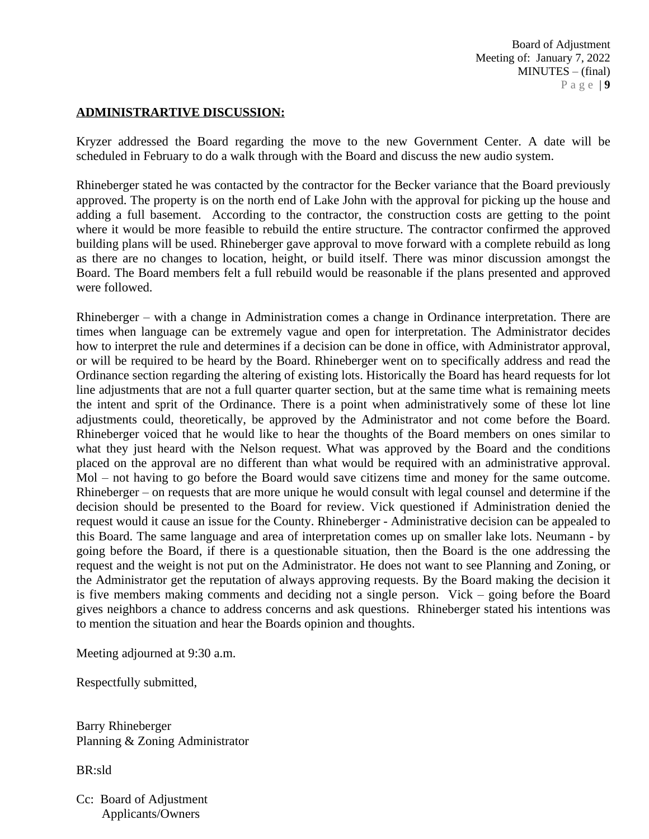Board of Adjustment Meeting of: January 7, 2022 MINUTES – (final) P a g e | **9**

### **ADMINISTRARTIVE DISCUSSION:**

Kryzer addressed the Board regarding the move to the new Government Center. A date will be scheduled in February to do a walk through with the Board and discuss the new audio system.

Rhineberger stated he was contacted by the contractor for the Becker variance that the Board previously approved. The property is on the north end of Lake John with the approval for picking up the house and adding a full basement. According to the contractor, the construction costs are getting to the point where it would be more feasible to rebuild the entire structure. The contractor confirmed the approved building plans will be used. Rhineberger gave approval to move forward with a complete rebuild as long as there are no changes to location, height, or build itself. There was minor discussion amongst the Board. The Board members felt a full rebuild would be reasonable if the plans presented and approved were followed.

Rhineberger – with a change in Administration comes a change in Ordinance interpretation. There are times when language can be extremely vague and open for interpretation. The Administrator decides how to interpret the rule and determines if a decision can be done in office, with Administrator approval, or will be required to be heard by the Board. Rhineberger went on to specifically address and read the Ordinance section regarding the altering of existing lots. Historically the Board has heard requests for lot line adjustments that are not a full quarter quarter section, but at the same time what is remaining meets the intent and sprit of the Ordinance. There is a point when administratively some of these lot line adjustments could, theoretically, be approved by the Administrator and not come before the Board. Rhineberger voiced that he would like to hear the thoughts of the Board members on ones similar to what they just heard with the Nelson request. What was approved by the Board and the conditions placed on the approval are no different than what would be required with an administrative approval. Mol – not having to go before the Board would save citizens time and money for the same outcome. Rhineberger – on requests that are more unique he would consult with legal counsel and determine if the decision should be presented to the Board for review. Vick questioned if Administration denied the request would it cause an issue for the County. Rhineberger - Administrative decision can be appealed to this Board. The same language and area of interpretation comes up on smaller lake lots. Neumann - by going before the Board, if there is a questionable situation, then the Board is the one addressing the request and the weight is not put on the Administrator. He does not want to see Planning and Zoning, or the Administrator get the reputation of always approving requests. By the Board making the decision it is five members making comments and deciding not a single person. Vick – going before the Board gives neighbors a chance to address concerns and ask questions. Rhineberger stated his intentions was to mention the situation and hear the Boards opinion and thoughts.

Meeting adjourned at 9:30 a.m.

Respectfully submitted,

Barry Rhineberger Planning & Zoning Administrator

BR:sld

Cc: Board of Adjustment Applicants/Owners